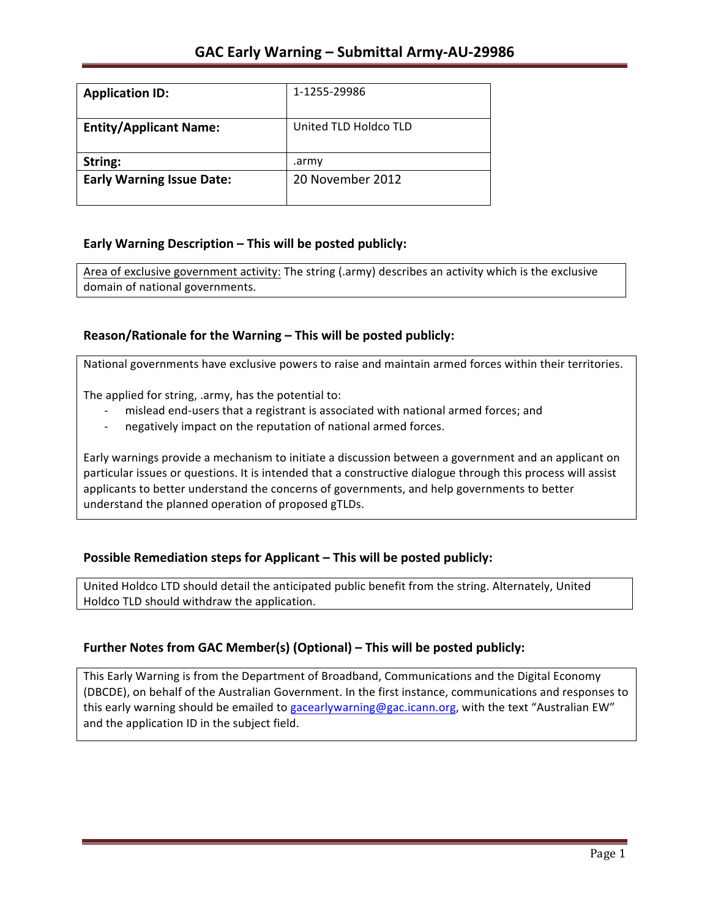| <b>Application ID:</b>           | 1-1255-29986          |
|----------------------------------|-----------------------|
| <b>Entity/Applicant Name:</b>    | United TLD Holdco TLD |
| String:                          | .army                 |
| <b>Early Warning Issue Date:</b> | 20 November 2012      |

#### **Early Warning Description – This will be posted publicly:**

Area of exclusive government activity: The string (.army) describes an activity which is the exclusive domain of national governments.

### **Reason/Rationale for the Warning – This will be posted publicly:**

National governments have exclusive powers to raise and maintain armed forces within their territories.

The applied for string, .army, has the potential to:

- mislead end-users that a registrant is associated with national armed forces; and
- negatively impact on the reputation of national armed forces.

Early warnings provide a mechanism to initiate a discussion between a government and an applicant on particular issues or questions. It is intended that a constructive dialogue through this process will assist applicants to better understand the concerns of governments, and help governments to better understand the planned operation of proposed gTLDs.

#### **Possible Remediation steps for Applicant – This will be posted publicly:**

United Holdco LTD should detail the anticipated public benefit from the string. Alternately, United Holdco TLD should withdraw the application.

### **Further Notes from GAC Member(s) (Optional) – This will be posted publicly:**

This Early Warning is from the Department of Broadband, Communications and the Digital Economy (DBCDE), on behalf of the Australian Government. In the first instance, communications and responses to this early warning should be emailed to gacearlywarning@gac.icann.org, with the text "Australian EW" and the application ID in the subject field.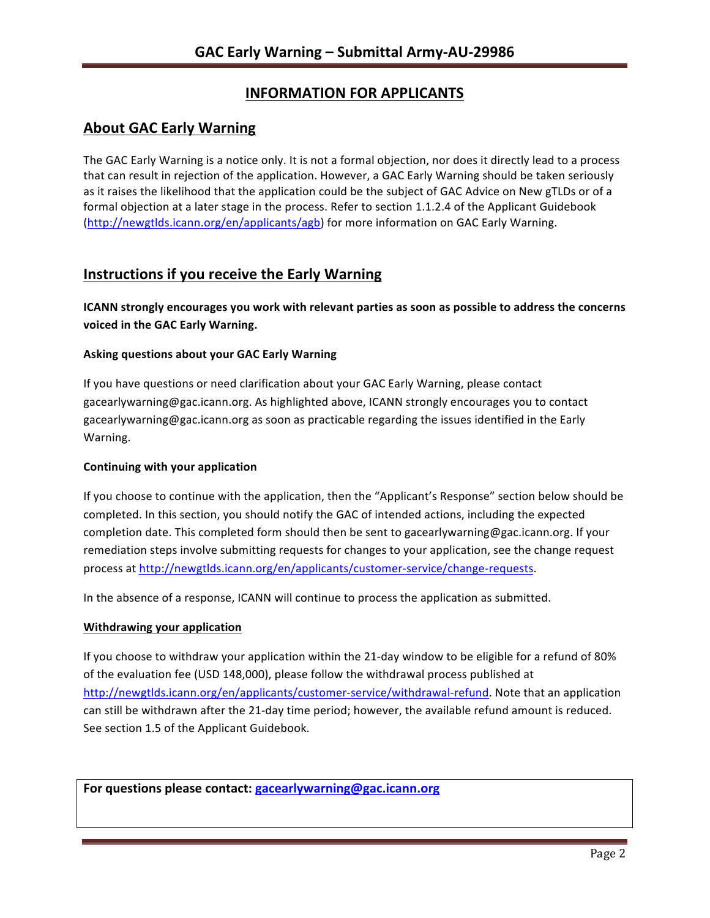# **INFORMATION FOR APPLICANTS**

## **About GAC Early Warning**

The GAC Early Warning is a notice only. It is not a formal objection, nor does it directly lead to a process that can result in rejection of the application. However, a GAC Early Warning should be taken seriously as it raises the likelihood that the application could be the subject of GAC Advice on New gTLDs or of a formal objection at a later stage in the process. Refer to section 1.1.2.4 of the Applicant Guidebook (http://newgtlds.icann.org/en/applicants/agb) for more information on GAC Early Warning.

### **Instructions if you receive the Early Warning**

**ICANN** strongly encourages you work with relevant parties as soon as possible to address the concerns voiced in the GAC Early Warning.

#### **Asking questions about your GAC Early Warning**

If you have questions or need clarification about your GAC Early Warning, please contact gacearlywarning@gac.icann.org. As highlighted above, ICANN strongly encourages you to contact gacearlywarning@gac.icann.org as soon as practicable regarding the issues identified in the Early Warning. 

#### **Continuing with your application**

If you choose to continue with the application, then the "Applicant's Response" section below should be completed. In this section, you should notify the GAC of intended actions, including the expected completion date. This completed form should then be sent to gacearlywarning@gac.icann.org. If your remediation steps involve submitting requests for changes to your application, see the change request process at http://newgtlds.icann.org/en/applicants/customer-service/change-requests.

In the absence of a response, ICANN will continue to process the application as submitted.

#### **Withdrawing your application**

If you choose to withdraw your application within the 21-day window to be eligible for a refund of 80% of the evaluation fee (USD 148,000), please follow the withdrawal process published at http://newgtlds.icann.org/en/applicants/customer-service/withdrawal-refund. Note that an application can still be withdrawn after the 21-day time period; however, the available refund amount is reduced. See section 1.5 of the Applicant Guidebook.

For questions please contact: gacearlywarning@gac.icann.org